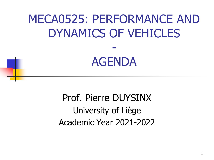# MECA0525: PERFORMANCE AND DYNAMICS OF VEHICLES -

## AGENDA

Prof. Pierre DUYSINX University of Liège Academic Year 2021-2022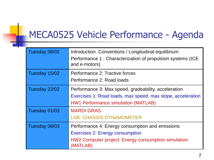### MECA0525 Vehicle Performance - Agenda

| Tuesday 08/02 | Introduction. Conventions / Longitudinal equilibrium<br>Performance 1: Characterization of propulsion systems (ICE<br>and e-motors)                               |
|---------------|-------------------------------------------------------------------------------------------------------------------------------------------------------------------|
| Tuesday 15/02 | Performance 2: Tractive forces<br>Performance 2: Road loads                                                                                                       |
| Tuesday 22/02 | Performance 3: Max speed, gradeability, acceleration<br>Exercises 1: Road loads, max speed, max slope, acceleration<br><b>HW1 Performance simulation (MATLAB)</b> |
| Tuesday 01/03 | <b>MARDI GRAS</b><br><b>LAB: CHASSIS DYNAMOMETER</b>                                                                                                              |
| Tuesday 08/03 | Performance 4: Energy consumption and emissions<br><b>Exercises 2: Energy consumption</b><br>HW2 Computer project: Energy consumption simulation<br>(MATLAB)      |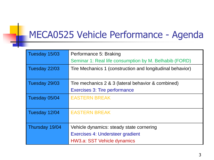#### MECA0525 Vehicle Performance - Agenda

| Tuesday 15/03  | Performance 5: Braking                                    |
|----------------|-----------------------------------------------------------|
|                | Seminar 1: Real life consumption by M. Belhabib (FORD)    |
| Tuesday 22/03  | Tire Mechanics 1 (construction and longitudinal behavior) |
| Tuesday 29/03  | Tire mechanics 2 & 3 (lateral behavior & combined)        |
|                | Exercises 3: Tire performance                             |
| Tuesday 05/04  | <b>EASTERN BREAK</b>                                      |
|                |                                                           |
| Tuesday 12/04  | <b>EASTERN BREAK</b>                                      |
|                |                                                           |
| Thursday 19/04 | Vehicle dynamics: steady state cornering                  |
|                | Exercises 4: Understeer gradient                          |
|                | HW3.a: SST Vehicle dynamics                               |